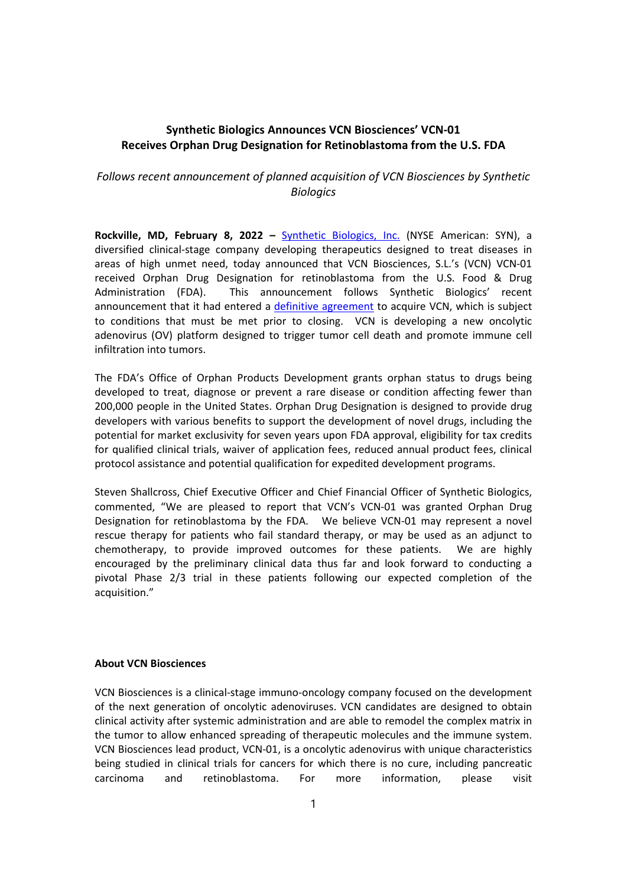# Synthetic Biologics Announces VCN Biosciences' VCN-01 Receives Orphan Drug Designation for Retinoblastoma from the U.S. FDA

# Follows recent announcement of planned acquisition of VCN Biosciences by Synthetic **Biologics**

Rockville, MD, February 8, 2022 - Synthetic Biologics, Inc. (NYSE American: SYN), a diversified clinical-stage company developing therapeutics designed to treat diseases in areas of high unmet need, today announced that VCN Biosciences, S.L.'s (VCN) VCN-01 received Orphan Drug Designation for retinoblastoma from the U.S. Food & Drug Administration (FDA). This announcement follows Synthetic Biologics' recent announcement that it had entered a definitive agreement to acquire VCN, which is subject to conditions that must be met prior to closing. VCN is developing a new oncolytic adenovirus (OV) platform designed to trigger tumor cell death and promote immune cell infiltration into tumors.

The FDA's Office of Orphan Products Development grants orphan status to drugs being developed to treat, diagnose or prevent a rare disease or condition affecting fewer than 200,000 people in the United States. Orphan Drug Designation is designed to provide drug developers with various benefits to support the development of novel drugs, including the potential for market exclusivity for seven years upon FDA approval, eligibility for tax credits for qualified clinical trials, waiver of application fees, reduced annual product fees, clinical protocol assistance and potential qualification for expedited development programs.

Steven Shallcross, Chief Executive Officer and Chief Financial Officer of Synthetic Biologics, commented, "We are pleased to report that VCN's VCN-01 was granted Orphan Drug Designation for retinoblastoma by the FDA. We believe VCN-01 may represent a novel rescue therapy for patients who fail standard therapy, or may be used as an adjunct to chemotherapy, to provide improved outcomes for these patients. We are highly encouraged by the preliminary clinical data thus far and look forward to conducting a pivotal Phase 2/3 trial in these patients following our expected completion of the acquisition."

## About VCN Biosciences

VCN Biosciences is a clinical-stage immuno-oncology company focused on the development of the next generation of oncolytic adenoviruses. VCN candidates are designed to obtain clinical activity after systemic administration and are able to remodel the complex matrix in the tumor to allow enhanced spreading of therapeutic molecules and the immune system. VCN Biosciences lead product, VCN-01, is a oncolytic adenovirus with unique characteristics being studied in clinical trials for cancers for which there is no cure, including pancreatic carcinoma and retinoblastoma. For more information, please visit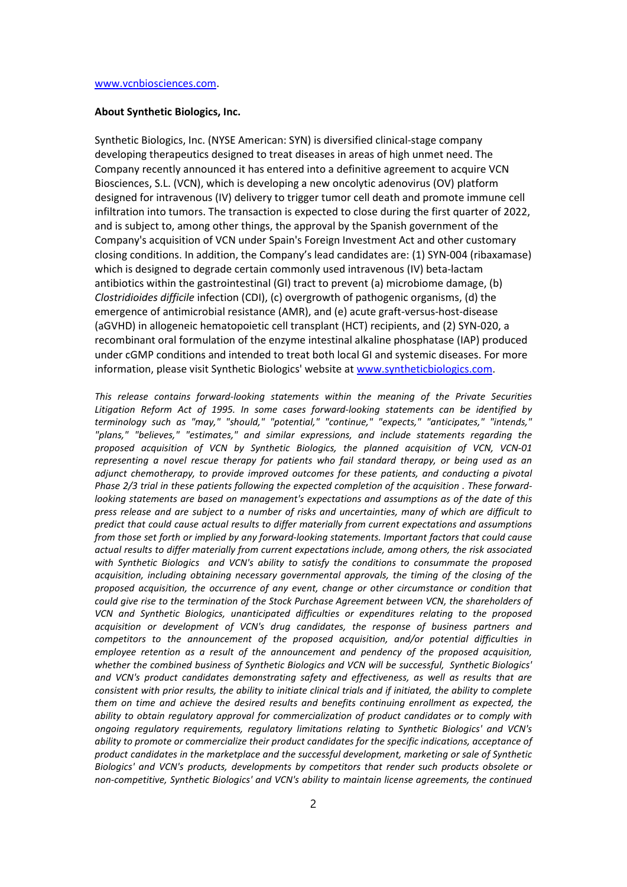### About Synthetic Biologics, Inc.

Synthetic Biologics, Inc. (NYSE American: SYN) is diversified clinical-stage company developing therapeutics designed to treat diseases in areas of high unmet need. The Company recently announced it has entered into a definitive agreement to acquire VCN Biosciences, S.L. (VCN), which is developing a new oncolytic adenovirus (OV) platform designed for intravenous (IV) delivery to trigger tumor cell death and promote immune cell infiltration into tumors. The transaction is expected to close during the first quarter of 2022, and is subject to, among other things, the approval by the Spanish government of the Company's acquisition of VCN under Spain's Foreign Investment Act and other customary closing conditions. In addition, the Company's lead candidates are: (1) SYN-004 (ribaxamase) which is designed to degrade certain commonly used intravenous (IV) beta-lactam antibiotics within the gastrointestinal (GI) tract to prevent (a) microbiome damage, (b) Clostridioides difficile infection (CDI), (c) overgrowth of pathogenic organisms, (d) the emergence of antimicrobial resistance (AMR), and (e) acute graft-versus-host-disease (aGVHD) in allogeneic hematopoietic cell transplant (HCT) recipients, and (2) SYN-020, a recombinant oral formulation of the enzyme intestinal alkaline phosphatase (IAP) produced under cGMP conditions and intended to treat both local GI and systemic diseases. For more information, please visit Synthetic Biologics' website at www.syntheticbiologics.com.

This release contains forward-looking statements within the meaning of the Private Securities Litigation Reform Act of 1995. In some cases forward-looking statements can be identified by terminology such as "may," "should," "potential," "continue," "expects," "anticipates," "intends," "plans," "believes," "estimates," and similar expressions, and include statements regarding the proposed acquisition of VCN by Synthetic Biologics, the planned acquisition of VCN, VCN-01 representing a novel rescue therapy for patients who fail standard therapy, or being used as an adjunct chemotherapy, to provide improved outcomes for these patients, and conducting a pivotal Phase 2/3 trial in these patients following the expected completion of the acquisition . These forwardlooking statements are based on management's expectations and assumptions as of the date of this press release and are subject to a number of risks and uncertainties, many of which are difficult to predict that could cause actual results to differ materially from current expectations and assumptions from those set forth or implied by any forward-looking statements. Important factors that could cause actual results to differ materially from current expectations include, among others, the risk associated with Synthetic Biologics and VCN's ability to satisfy the conditions to consummate the proposed acquisition, including obtaining necessary governmental approvals, the timing of the closing of the proposed acquisition, the occurrence of any event, change or other circumstance or condition that could give rise to the termination of the Stock Purchase Agreement between VCN, the shareholders of VCN and Synthetic Biologics, unanticipated difficulties or expenditures relating to the proposed acquisition or development of VCN's drug candidates, the response of business partners and competitors to the announcement of the proposed acquisition, and/or potential difficulties in employee retention as a result of the announcement and pendency of the proposed acquisition, whether the combined business of Synthetic Biologics and VCN will be successful, Synthetic Biologics' and VCN's product candidates demonstrating safety and effectiveness, as well as results that are consistent with prior results, the ability to initiate clinical trials and if initiated, the ability to complete them on time and achieve the desired results and benefits continuing enrollment as expected, the ability to obtain regulatory approval for commercialization of product candidates or to comply with ongoing regulatory requirements, regulatory limitations relating to Synthetic Biologics' and VCN's ability to promote or commercialize their product candidates for the specific indications, acceptance of product candidates in the marketplace and the successful development, marketing or sale of Synthetic Biologics' and VCN's products, developments by competitors that render such products obsolete or non-competitive, Synthetic Biologics' and VCN's ability to maintain license agreements, the continued